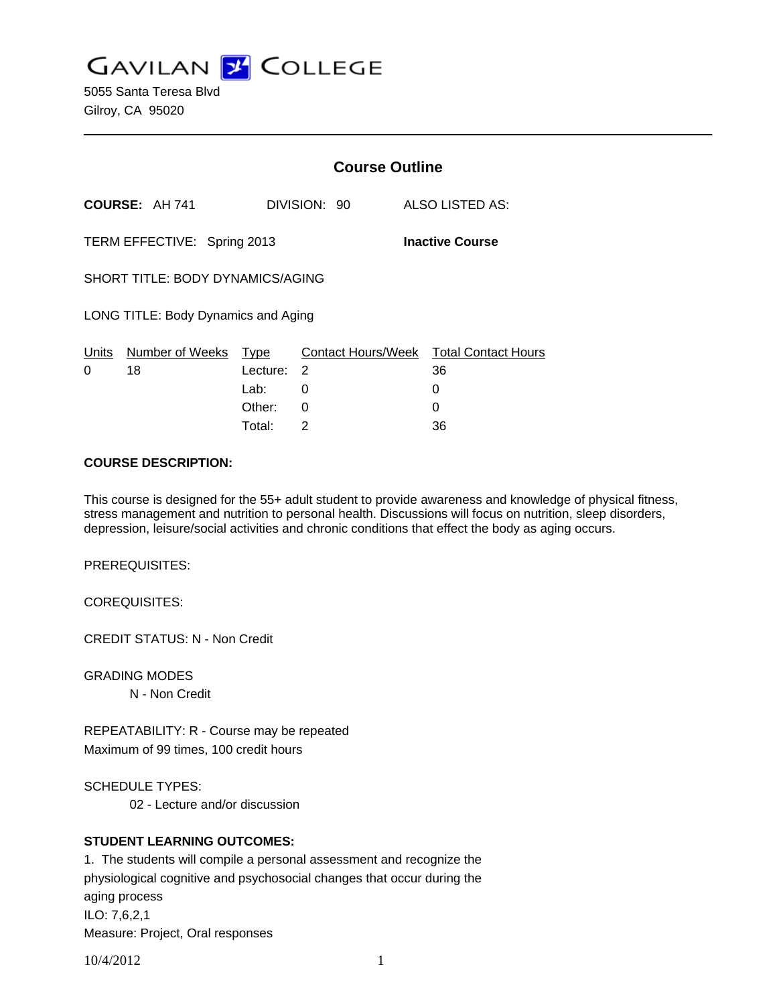**GAVILAN Z COLLEGE** 

5055 Santa Teresa Blvd Gilroy, CA 95020

|                                                       |                 | <b>Course Outline</b> |              |                                        |
|-------------------------------------------------------|-----------------|-----------------------|--------------|----------------------------------------|
|                                                       | COURSE: AH 741  |                       | DIVISION: 90 | ALSO LISTED AS:                        |
| TERM EFFECTIVE: Spring 2013<br><b>Inactive Course</b> |                 |                       |              |                                        |
| SHORT TITLE: BODY DYNAMICS/AGING                      |                 |                       |              |                                        |
| LONG TITLE: Body Dynamics and Aging                   |                 |                       |              |                                        |
| <u>Units</u>                                          | Number of Weeks | Type                  |              | Contact Hours/Week Total Contact Hours |
| 0                                                     | 18              | Lecture: 2            |              | 36                                     |
|                                                       |                 | Lab: Lab              | 0            | 0                                      |
|                                                       |                 | Other:                | 0            | 0                                      |
|                                                       |                 | Total:                | 2            | 36                                     |

#### **COURSE DESCRIPTION:**

This course is designed for the 55+ adult student to provide awareness and knowledge of physical fitness, stress management and nutrition to personal health. Discussions will focus on nutrition, sleep disorders, depression, leisure/social activities and chronic conditions that effect the body as aging occurs.

PREREQUISITES:

COREQUISITES:

CREDIT STATUS: N - Non Credit

GRADING MODES

N - Non Credit

REPEATABILITY: R - Course may be repeated Maximum of 99 times, 100 credit hours

SCHEDULE TYPES:

02 - Lecture and/or discussion

### **STUDENT LEARNING OUTCOMES:**

1. The students will compile a personal assessment and recognize the physiological cognitive and psychosocial changes that occur during the aging process ILO: 7,6,2,1 Measure: Project, Oral responses

10/4/2012 1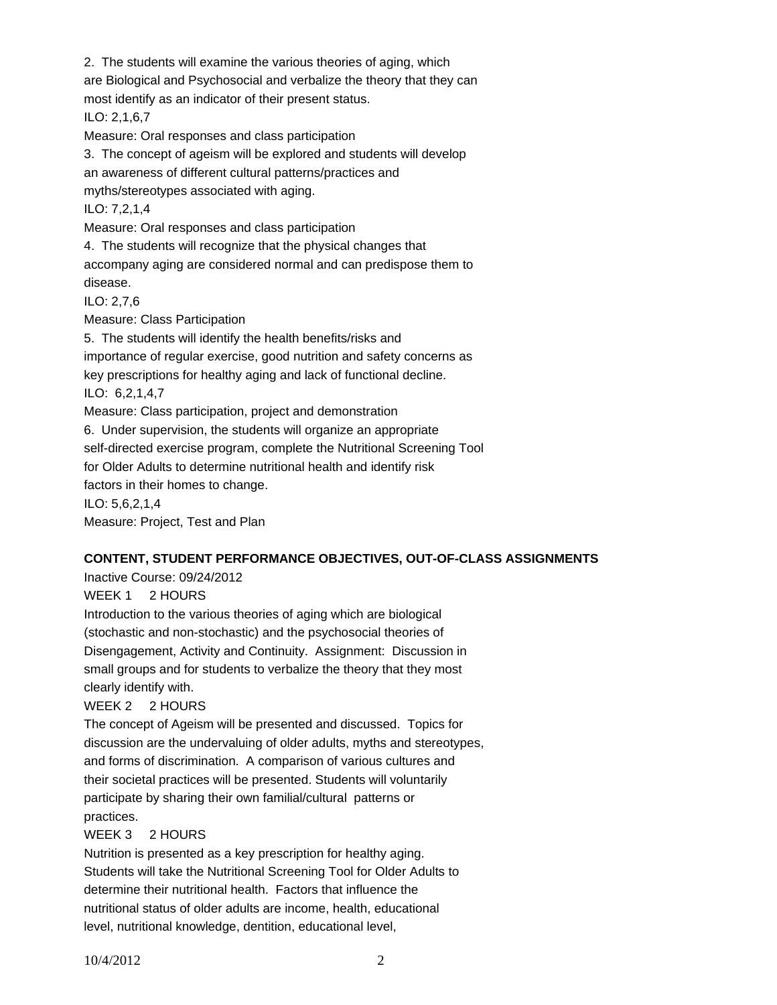2. The students will examine the various theories of aging, which

are Biological and Psychosocial and verbalize the theory that they can

most identify as an indicator of their present status.

ILO: 2,1,6,7

Measure: Oral responses and class participation

3. The concept of ageism will be explored and students will develop

an awareness of different cultural patterns/practices and

myths/stereotypes associated with aging.

ILO: 7,2,1,4

Measure: Oral responses and class participation

4. The students will recognize that the physical changes that

accompany aging are considered normal and can predispose them to disease.

ILO: 2,7,6

Measure: Class Participation

5. The students will identify the health benefits/risks and importance of regular exercise, good nutrition and safety concerns as key prescriptions for healthy aging and lack of functional decline. ILO: 6,2,1,4,7 Measure: Class participation, project and demonstration 6. Under supervision, the students will organize an appropriate self-directed exercise program, complete the Nutritional Screening Tool for Older Adults to determine nutritional health and identify risk factors in their homes to change.

ILO: 5,6,2,1,4

Measure: Project, Test and Plan

# **CONTENT, STUDENT PERFORMANCE OBJECTIVES, OUT-OF-CLASS ASSIGNMENTS**

Inactive Course: 09/24/2012

WEEK 1 2 HOURS

Introduction to the various theories of aging which are biological (stochastic and non-stochastic) and the psychosocial theories of Disengagement, Activity and Continuity. Assignment: Discussion in small groups and for students to verbalize the theory that they most clearly identify with.

### WEEK 2 2 HOURS

The concept of Ageism will be presented and discussed. Topics for discussion are the undervaluing of older adults, myths and stereotypes, and forms of discrimination. A comparison of various cultures and their societal practices will be presented. Students will voluntarily participate by sharing their own familial/cultural patterns or practices.

### WEEK 3 2 HOURS

Nutrition is presented as a key prescription for healthy aging. Students will take the Nutritional Screening Tool for Older Adults to determine their nutritional health. Factors that influence the nutritional status of older adults are income, health, educational level, nutritional knowledge, dentition, educational level,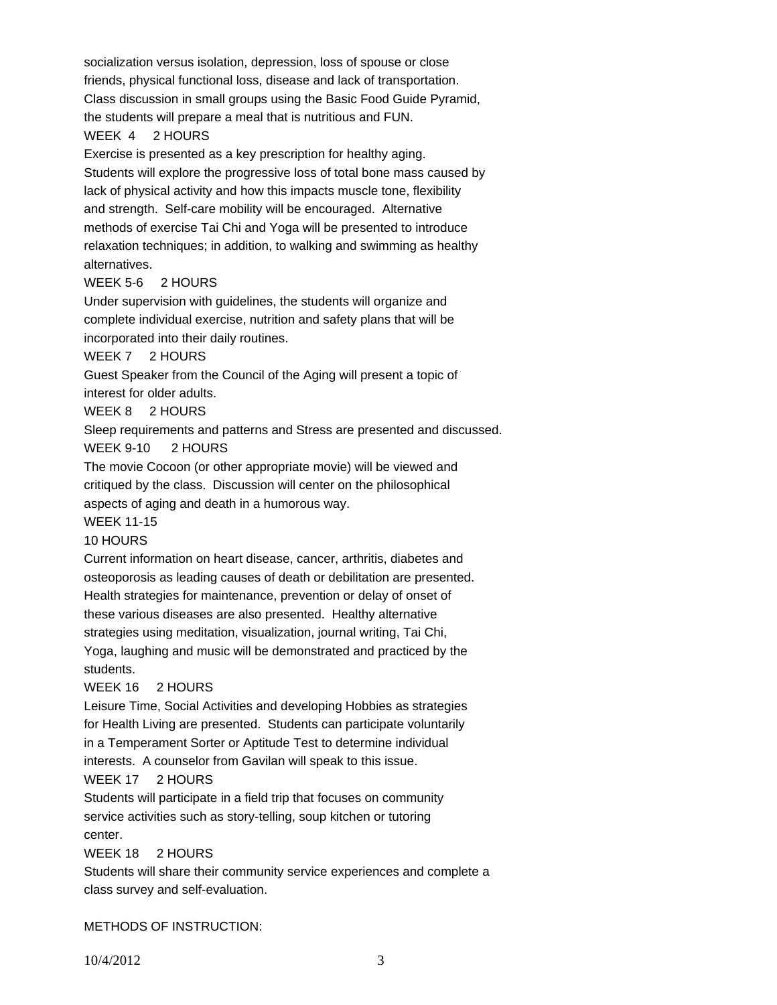socialization versus isolation, depression, loss of spouse or close friends, physical functional loss, disease and lack of transportation. Class discussion in small groups using the Basic Food Guide Pyramid, the students will prepare a meal that is nutritious and FUN.

### WEEK 4 2 HOURS

Exercise is presented as a key prescription for healthy aging. Students will explore the progressive loss of total bone mass caused by lack of physical activity and how this impacts muscle tone, flexibility and strength. Self-care mobility will be encouraged. Alternative methods of exercise Tai Chi and Yoga will be presented to introduce relaxation techniques; in addition, to walking and swimming as healthy alternatives.

### WEEK 5-6 2 HOURS

Under supervision with guidelines, the students will organize and complete individual exercise, nutrition and safety plans that will be incorporated into their daily routines.

WEEK 7 2 HOURS

Guest Speaker from the Council of the Aging will present a topic of interest for older adults.

WEEK 8 2 HOURS

Sleep requirements and patterns and Stress are presented and discussed. WEEK 9-10 2 HOURS

The movie Cocoon (or other appropriate movie) will be viewed and critiqued by the class. Discussion will center on the philosophical aspects of aging and death in a humorous way.

WEEK 11-15

# 10 HOURS

Current information on heart disease, cancer, arthritis, diabetes and osteoporosis as leading causes of death or debilitation are presented. Health strategies for maintenance, prevention or delay of onset of these various diseases are also presented. Healthy alternative strategies using meditation, visualization, journal writing, Tai Chi,

Yoga, laughing and music will be demonstrated and practiced by the students.

# WEEK 16 2 HOURS

Leisure Time, Social Activities and developing Hobbies as strategies for Health Living are presented. Students can participate voluntarily in a Temperament Sorter or Aptitude Test to determine individual interests. A counselor from Gavilan will speak to this issue.

# WEEK 17 2 HOURS

Students will participate in a field trip that focuses on community service activities such as story-telling, soup kitchen or tutoring center.

WEEK 18 2 HOURS

Students will share their community service experiences and complete a class survey and self-evaluation.

METHODS OF INSTRUCTION: